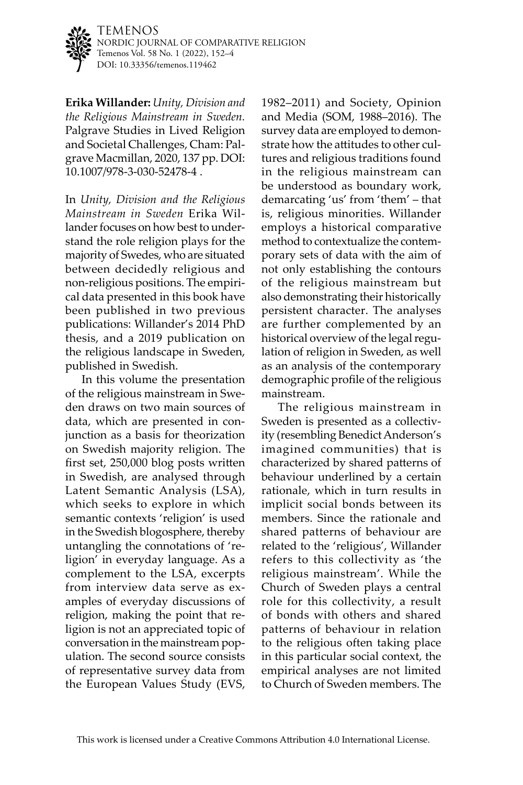

TEMENOS NORDIC JOURNAL OF COMPARATIVE RELIGION Temenos Vol. 58 No. 1 (2022), 152–4 DOI: [10.33356/temenos.119462](http://doi.org/10.33356/temenos.119462)

**Erika Willander:** *Unity, Division and the Religious Mainstream in Sweden.* Palgrave Studies in Lived Religion and Societal Challenges, Cham: Palgrave Macmillan, 2020, 137 pp. DOI: 10.1007/978-3-030-52478-4 .

In *Unity, Division and the Religious Mainstream in Sweden* Erika Willander focuses on how best to understand the role religion plays for the majority of Swedes, who are situated between decidedly religious and non-religious positions. The empirical data presented in this book have been published in two previous publications: Willander's 2014 PhD thesis, and a 2019 publication on the religious landscape in Sweden, published in Swedish.

In this volume the presentation of the religious mainstream in Sweden draws on two main sources of data, which are presented in conjunction as a basis for theorization on Swedish majority religion. The first set, 250,000 blog posts written in Swedish, are analysed through Latent Semantic Analysis (LSA), which seeks to explore in which semantic contexts 'religion' is used in the Swedish blogosphere, thereby untangling the connotations of 'religion' in everyday language. As a complement to the LSA, excerpts from interview data serve as examples of everyday discussions of religion, making the point that religion is not an appreciated topic of conversation in the mainstream population. The second source consists of representative survey data from the European Values Study (EVS, 1982–2011) and Society, Opinion and Media (SOM, 1988–2016). The survey data are employed to demonstrate how the attitudes to other cultures and religious traditions found in the religious mainstream can be understood as boundary work, demarcating 'us' from 'them' – that is, religious minorities. Willander employs a historical comparative method to contextualize the contemporary sets of data with the aim of not only establishing the contours of the religious mainstream but also demonstrating their historically persistent character. The analyses are further complemented by an historical overview of the legal regulation of religion in Sweden, as well as an analysis of the contemporary demographic profile of the religious mainstream.

The religious mainstream in Sweden is presented as a collectivity (resembling Benedict Anderson's imagined communities) that is characterized by shared patterns of behaviour underlined by a certain rationale, which in turn results in implicit social bonds between its members. Since the rationale and shared patterns of behaviour are related to the 'religious', Willander refers to this collectivity as 'the religious mainstream'. While the Church of Sweden plays a central role for this collectivity, a result of bonds with others and shared patterns of behaviour in relation to the religious often taking place in this particular social context, the empirical analyses are not limited to Church of Sweden members. The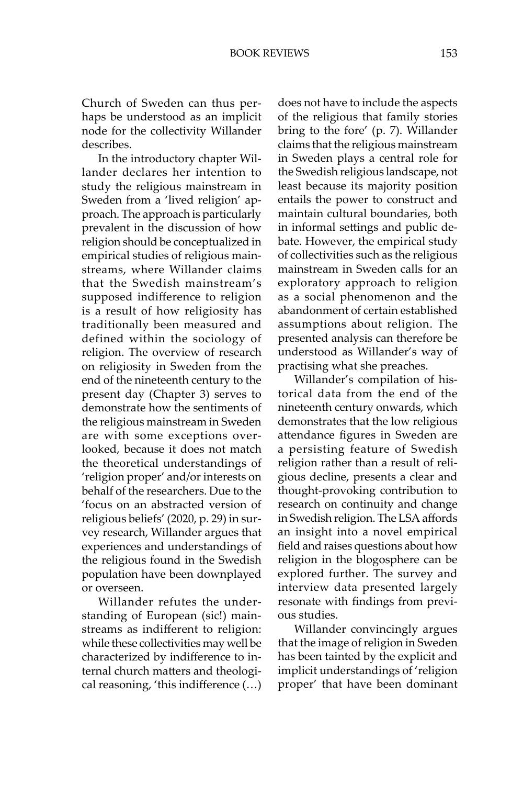BOOK REVIEWS 153

Church of Sweden can thus perhaps be understood as an implicit node for the collectivity Willander describes.

In the introductory chapter Willander declares her intention to study the religious mainstream in Sweden from a 'lived religion' approach. The approach is particularly prevalent in the discussion of how religion should be conceptualized in empirical studies of religious mainstreams, where Willander claims that the Swedish mainstream's supposed indifference to religion is a result of how religiosity has traditionally been measured and defined within the sociology of religion. The overview of research on religiosity in Sweden from the end of the nineteenth century to the present day (Chapter 3) serves to demonstrate how the sentiments of the religious mainstream in Sweden are with some exceptions overlooked, because it does not match the theoretical understandings of 'religion proper' and/or interests on behalf of the researchers. Due to the 'focus on an abstracted version of religious beliefs' (2020, p. 29) in survey research, Willander argues that experiences and understandings of the religious found in the Swedish population have been downplayed or overseen.

Willander refutes the understanding of European (sic!) mainstreams as indifferent to religion: while these collectivities may well be characterized by indifference to internal church matters and theological reasoning, 'this indifference (…) does not have to include the aspects of the religious that family stories bring to the fore' (p. 7). Willander claims that the religious mainstream in Sweden plays a central role for the Swedish religious landscape, not least because its majority position entails the power to construct and maintain cultural boundaries, both in informal settings and public debate. However, the empirical study of collectivities such as the religious mainstream in Sweden calls for an exploratory approach to religion as a social phenomenon and the abandonment of certain established assumptions about religion. The presented analysis can therefore be understood as Willander's way of practising what she preaches.

Willander's compilation of historical data from the end of the nineteenth century onwards, which demonstrates that the low religious attendance figures in Sweden are a persisting feature of Swedish religion rather than a result of religious decline, presents a clear and thought-provoking contribution to research on continuity and change in Swedish religion. The LSA affords an insight into a novel empirical field and raises questions about how religion in the blogosphere can be explored further. The survey and interview data presented largely resonate with findings from previous studies.

Willander convincingly argues that the image of religion in Sweden has been tainted by the explicit and implicit understandings of 'religion proper' that have been dominant